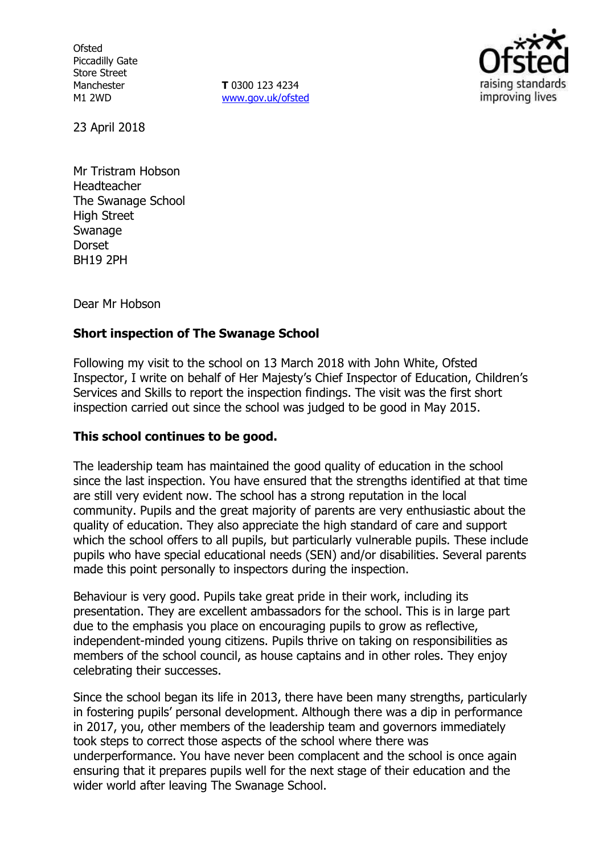**Ofsted** Piccadilly Gate Store Street Manchester M1 2WD

**T** 0300 123 4234 [www.gov.uk/ofsted](http://www.gov.uk/ofsted)



23 April 2018

Mr Tristram Hobson Headteacher The Swanage School High Street Swanage Dorset BH19 2PH

Dear Mr Hobson

## **Short inspection of The Swanage School**

Following my visit to the school on 13 March 2018 with John White, Ofsted Inspector, I write on behalf of Her Majesty's Chief Inspector of Education, Children's Services and Skills to report the inspection findings. The visit was the first short inspection carried out since the school was judged to be good in May 2015.

#### **This school continues to be good.**

The leadership team has maintained the good quality of education in the school since the last inspection. You have ensured that the strengths identified at that time are still very evident now. The school has a strong reputation in the local community. Pupils and the great majority of parents are very enthusiastic about the quality of education. They also appreciate the high standard of care and support which the school offers to all pupils, but particularly vulnerable pupils. These include pupils who have special educational needs (SEN) and/or disabilities. Several parents made this point personally to inspectors during the inspection.

Behaviour is very good. Pupils take great pride in their work, including its presentation. They are excellent ambassadors for the school. This is in large part due to the emphasis you place on encouraging pupils to grow as reflective, independent-minded young citizens. Pupils thrive on taking on responsibilities as members of the school council, as house captains and in other roles. They enjoy celebrating their successes.

Since the school began its life in 2013, there have been many strengths, particularly in fostering pupils' personal development. Although there was a dip in performance in 2017, you, other members of the leadership team and governors immediately took steps to correct those aspects of the school where there was underperformance. You have never been complacent and the school is once again ensuring that it prepares pupils well for the next stage of their education and the wider world after leaving The Swanage School.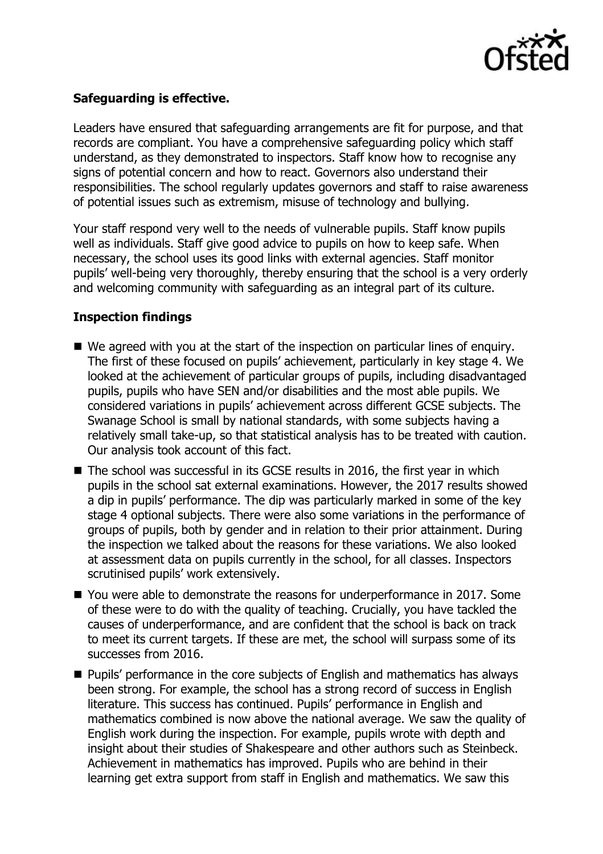

# **Safeguarding is effective.**

Leaders have ensured that safeguarding arrangements are fit for purpose, and that records are compliant. You have a comprehensive safeguarding policy which staff understand, as they demonstrated to inspectors. Staff know how to recognise any signs of potential concern and how to react. Governors also understand their responsibilities. The school regularly updates governors and staff to raise awareness of potential issues such as extremism, misuse of technology and bullying.

Your staff respond very well to the needs of vulnerable pupils. Staff know pupils well as individuals. Staff give good advice to pupils on how to keep safe. When necessary, the school uses its good links with external agencies. Staff monitor pupils' well-being very thoroughly, thereby ensuring that the school is a very orderly and welcoming community with safeguarding as an integral part of its culture.

## **Inspection findings**

- We agreed with you at the start of the inspection on particular lines of enguiry. The first of these focused on pupils' achievement, particularly in key stage 4. We looked at the achievement of particular groups of pupils, including disadvantaged pupils, pupils who have SEN and/or disabilities and the most able pupils. We considered variations in pupils' achievement across different GCSE subjects. The Swanage School is small by national standards, with some subjects having a relatively small take-up, so that statistical analysis has to be treated with caution. Our analysis took account of this fact.
- The school was successful in its GCSE results in 2016, the first year in which pupils in the school sat external examinations. However, the 2017 results showed a dip in pupils' performance. The dip was particularly marked in some of the key stage 4 optional subjects. There were also some variations in the performance of groups of pupils, both by gender and in relation to their prior attainment. During the inspection we talked about the reasons for these variations. We also looked at assessment data on pupils currently in the school, for all classes. Inspectors scrutinised pupils' work extensively.
- You were able to demonstrate the reasons for underperformance in 2017. Some of these were to do with the quality of teaching. Crucially, you have tackled the causes of underperformance, and are confident that the school is back on track to meet its current targets. If these are met, the school will surpass some of its successes from 2016.
- **Pupils' performance in the core subjects of English and mathematics has always** been strong. For example, the school has a strong record of success in English literature. This success has continued. Pupils' performance in English and mathematics combined is now above the national average. We saw the quality of English work during the inspection. For example, pupils wrote with depth and insight about their studies of Shakespeare and other authors such as Steinbeck. Achievement in mathematics has improved. Pupils who are behind in their learning get extra support from staff in English and mathematics. We saw this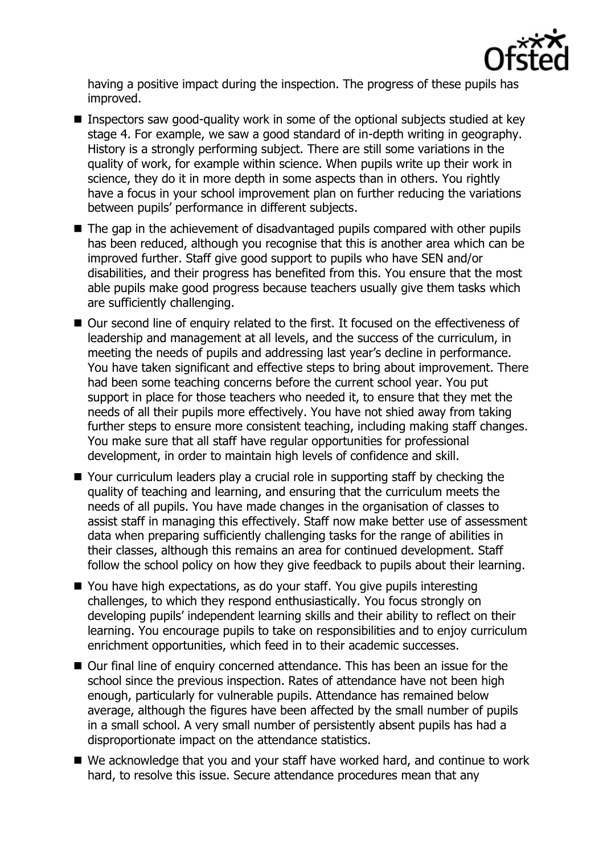

having a positive impact during the inspection. The progress of these pupils has improved.

- Inspectors saw good-quality work in some of the optional subjects studied at key stage 4. For example, we saw a good standard of in-depth writing in geography. History is a strongly performing subject. There are still some variations in the quality of work, for example within science. When pupils write up their work in science, they do it in more depth in some aspects than in others. You rightly have a focus in your school improvement plan on further reducing the variations between pupils' performance in different subjects.
- The gap in the achievement of disadvantaged pupils compared with other pupils has been reduced, although you recognise that this is another area which can be improved further. Staff give good support to pupils who have SEN and/or disabilities, and their progress has benefited from this. You ensure that the most able pupils make good progress because teachers usually give them tasks which are sufficiently challenging.
- Our second line of enquiry related to the first. It focused on the effectiveness of leadership and management at all levels, and the success of the curriculum, in meeting the needs of pupils and addressing last year's decline in performance. You have taken significant and effective steps to bring about improvement. There had been some teaching concerns before the current school year. You put support in place for those teachers who needed it, to ensure that they met the needs of all their pupils more effectively. You have not shied away from taking further steps to ensure more consistent teaching, including making staff changes. You make sure that all staff have regular opportunities for professional development, in order to maintain high levels of confidence and skill.
- Your curriculum leaders play a crucial role in supporting staff by checking the quality of teaching and learning, and ensuring that the curriculum meets the needs of all pupils. You have made changes in the organisation of classes to assist staff in managing this effectively. Staff now make better use of assessment data when preparing sufficiently challenging tasks for the range of abilities in their classes, although this remains an area for continued development. Staff follow the school policy on how they give feedback to pupils about their learning.
- You have high expectations, as do your staff. You give pupils interesting challenges, to which they respond enthusiastically. You focus strongly on developing pupils' independent learning skills and their ability to reflect on their learning. You encourage pupils to take on responsibilities and to enjoy curriculum enrichment opportunities, which feed in to their academic successes.
- Our final line of enquiry concerned attendance. This has been an issue for the school since the previous inspection. Rates of attendance have not been high enough, particularly for vulnerable pupils. Attendance has remained below average, although the figures have been affected by the small number of pupils in a small school. A very small number of persistently absent pupils has had a disproportionate impact on the attendance statistics.
- We acknowledge that you and your staff have worked hard, and continue to work hard, to resolve this issue. Secure attendance procedures mean that any